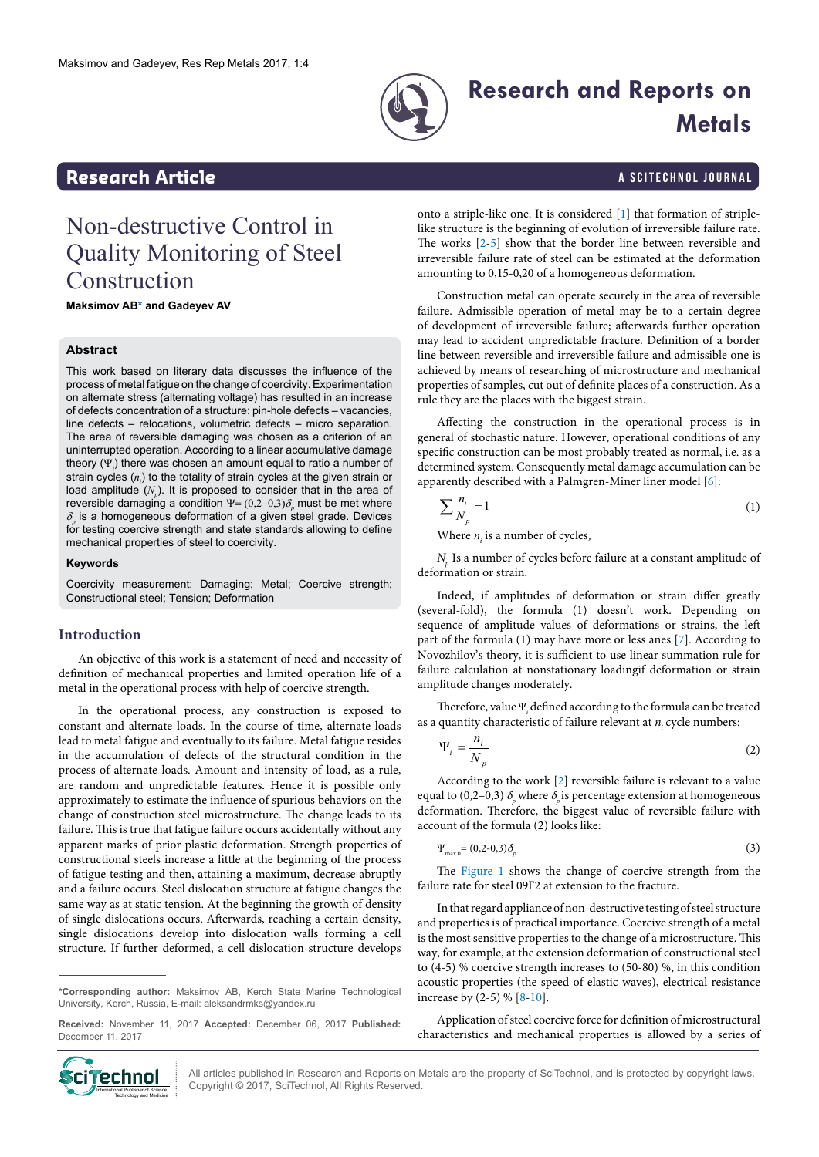

# **Research and Reports on Metals**

## <span id="page-0-1"></span>**Research Article a Scittering Control in the Scittering Article in the Scittering Article in the Scittering Library and Scittering Library and Scittering Library and Scittering Article in the Scittering Article in the S**

## Non-destructive Control in Quality Monitoring of Steel Construction

**Maksimov A[B\\*](#page-0-0) and Gadeyev AV**

#### **Abstract**

This work based on literary data discusses the influence of the process of metal fatigue on the change of coercivity. Experimentation on alternate stress (alternating voltage) has resulted in an increase of defects concentration of a structure: pin-hole defects – vacancies, line defects – relocations, volumetric defects – micro separation. The area of reversible damaging was chosen as a criterion of an uninterrupted operation. According to a linear accumulative damage theory (Ψ*<sup>i</sup>* ) there was chosen an amount equal to ratio a number of strain cycles (n<sub>i</sub>) to the totality of strain cycles at the given strain or load amplitude  $(N_{p})$ . It is proposed to consider that in the area of reversible damaging a condition  $\Psi = (0,2-0,3)\delta_p^{\dagger}$  must be met where  $\delta_{\rho}$  is a homogeneous deformation of a given steel grade. Devices for testing coercive strength and state standards allowing to define mechanical properties of steel to coercivity.

#### **Keywords**

Coercivity measurement; Damaging; Metal; Coercive strength; Constructional steel; Tension; Deformation

#### **Introduction**

An objective of this work is a statement of need and necessity of definition of mechanical properties and limited operation life of a metal in the operational process with help of coercive strength.

In the operational process, any construction is exposed to constant and alternate loads. In the course of time, alternate loads lead to metal fatigue and eventually to its failure. Metal fatigue resides in the accumulation of defects of the structural condition in the process of alternate loads. Amount and intensity of load, as a rule, are random and unpredictable features. Hence it is possible only approximately to estimate the influence of spurious behaviors on the change of construction steel microstructure. The change leads to its failure. This is true that fatigue failure occurs accidentally without any apparent marks of prior plastic deformation. Strength properties of constructional steels increase a little at the beginning of the process of fatigue testing and then, attaining a maximum, decrease abruptly and a failure occurs. Steel dislocation structure at fatigue changes the same way as at static tension. At the beginning the growth of density of single dislocations occurs. Afterwards, reaching a certain density, single dislocations develop into dislocation walls forming a cell structure. If further deformed, a cell dislocation structure develops

<span id="page-0-0"></span>**\*Corresponding author:** Maksimov AB, Kerch State Marine Technological University, Kerch, Russia, E-mail: aleksandrmks@yandex.ru

**Received:** November 11, 2017 **Accepted:** December 06, 2017 **Published:**  December 11, 2017



onto a striple-like one. It is considered [[1](#page-1-0)] that formation of striplelike structure is the beginning of evolution of irreversible failure rate. The works [\[2](#page-1-1)-[5\]](#page-1-2) show that the border line between reversible and irreversible failure rate of steel can be estimated at the deformation amounting to 0,15-0,20 of a homogeneous deformation.

Construction metal can operate securely in the area of reversible failure. Admissible operation of metal may be to a certain degree of development of irreversible failure; afterwards further operation may lead to accident unpredictable fracture. Definition of a border line between reversible and irreversible failure and admissible one is achieved by means of researching of microstructure and mechanical properties of samples, cut out of definite places of a construction. As a rule they are the places with the biggest strain.

Affecting the construction in the operational process is in general of stochastic nature. However, operational conditions of any specific construction can be most probably treated as normal, i.e. as a determined system. Consequently metal damage accumulation can be apparently described with a Palmgren-Miner liner model [[6\]](#page-1-2):

$$
\sum \frac{n_i}{N_p} = 1\tag{1}
$$

Where  $n_i$  is a number of cycles,

 $N_p$  Is a number of cycles before failure at a constant amplitude of deformation or strain.

Indeed, if amplitudes of deformation or strain differ greatly (several-fold), the formula (1) doesn't work. Depending on sequence of amplitude values of deformations or strains, the left part of the formula (1) may have more or less anes [\[7\]](#page-1-3). According to Novozhilov's theory, it is sufficient to use linear summation rule for failure calculation at nonstationary loadingif deformation or strain amplitude changes moderately.

Therefore, value  $\Psi_i$  defined according to the formula can be treated as a quantity characteristic of failure relevant at  $n<sub>i</sub>$  cycle numbers:

$$
\Psi_i = \frac{n_i}{N_p} \tag{2}
$$

According to the work [[2](#page-1-1)] reversible failure is relevant to a value equal to (0,2–0,3)  $\delta_p$  where  $\delta_p$  is percentage extension at homogeneous deformation. Therefore, the biggest value of reversible failure with account of the formula (2) looks like:

$$
\Psi_{\text{max},0} = (0,2-0,3)\delta_p \tag{3}
$$

The [Figure 1](#page-1-4) shows the change of coercive strength from the failure rate for steel 09Г2 at extension to the fracture.

In that regard appliance of non-destructive testing of steel structure and properties is of practical importance. Coercive strength of a metal is the most sensitive properties to the change of a microstructure. This way, for example, at the extension deformation of constructional steel to (4-5) % coercive strength increases to (50-80) %, in this condition acoustic properties (the speed of elastic waves), electrical resistance increase by (2-5) % [[8](#page-1-5)[-10](#page-1-6)].

Application of steel coercive force for definition of microstructural

characteristics and mechanical properties is allowed by a series of

All articles published in Research and Reports on Metals are the property of SciTechnol, and is protected by copyright laws. Copyright © 2017, SciTechnol, All Rights Reserved.